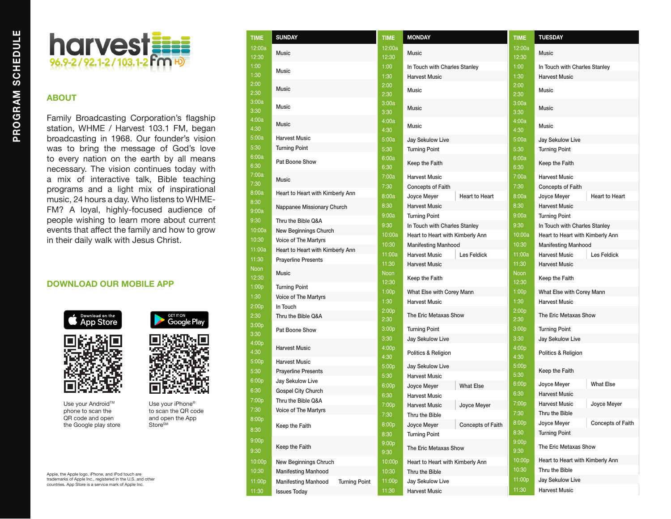

## **ABOUT**

Family Broadcasting Corporation's flagship station, WHME / Harvest 103.1 FM, began broadcasting in 1968. Our founder's vision was to bring the message of God's love to every nation on the earth by all means necessary. The vision continues today with a mix of interactive talk, Bible teaching programs and a light mix of inspirational music, 24 hours a day. Who listens to WHME-FM? A loyal, highly-focused audience of people wishing to learn more about current events that affect the family and how to grow in their daily walk with Jesus Christ.

## **DOWNLOAD OUR MOBILE APP**





Use your Android™ phone to scan the QR code and open the Google play store



Use your iPhone® to scan the QR code and open the App Store<sup>SM</sup>

Apple, the Apple logo, iPhone, and iPod touch are trademarks of Apple Inc., registered in the U.S. and other countries. App Store is a service mark of Apple Inc.

| TIME            | <b>SUNDAY</b>                                      | <b>TIME</b>          | <b>MONI</b>      |
|-----------------|----------------------------------------------------|----------------------|------------------|
| 12:00a<br>12:30 | <b>Music</b>                                       | 12:00a<br>12:30      | Music            |
| 1:00            | Music                                              | 1:00                 | In Tou           |
| 1:30            |                                                    | 1:30                 | Harve            |
| 2:00<br>2:30    | <b>Music</b>                                       | 2:00<br>2:30         | Music            |
| 3:00a<br>3:30   | <b>Music</b>                                       | 3:00a<br>3:30        | Music            |
| 4:00a<br>4:30   | Music                                              | 4:00a<br>4:30        | Music            |
| 5:00a           | <b>Harvest Music</b>                               | 5:00a                | Jay S            |
| 5:30            | <b>Turning Point</b>                               | 5:30                 | Turnin           |
| 6:00a<br>6:30   | Pat Boone Show                                     | 6:00a<br>6:30        | Keep             |
| 7:00a<br>7:30   | <b>Music</b>                                       | 7:00a<br>7:30        | Harve<br>Conce   |
| 8:00a           | Heart to Heart with Kimberly Ann                   | 8:00a                | Joyce            |
| 8:30            | Nappanee Missionary Church                         | 8:30                 | Harve            |
| 9:00a           |                                                    | 9:00a                | Turnin           |
| 9:30            | Thru the Bible Q&A                                 | 9:30                 | In Tou           |
| 10:00a          | <b>New Beginnings Church</b>                       | 10:00a               | Heart            |
| 10:30           | Voice of The Martyrs                               | 10:30                | <b>Manife</b>    |
| 11:00a          | Heart to Heart with Kimberly Ann                   | 11:00a               | Harve            |
| 11:30           | <b>Prayerline Presents</b>                         | 11:30                | Harve            |
| Noon<br>12:30   | <b>Music</b>                                       | <b>Noon</b><br>12:30 | Keep:            |
| 1:00p           | <b>Turning Point</b>                               | 1:00p                | What             |
| 1:30            | Voice of The Martyrs                               | 1:30                 | Harve            |
| 2:00p           | In Touch                                           | 2:00p                |                  |
| 2:30            | Thru the Bible Q&A                                 | 2:30                 | The E            |
| 3:00p<br>3:30   | Pat Boone Show                                     | 3:00p                | Turnin           |
| 4:00p<br>4:30   | <b>Harvest Music</b>                               | 3:30<br>4:00p        | Jay S<br>Politic |
| 5:00p           | <b>Harvest Music</b>                               | 4:30                 |                  |
| 5:30            | <b>Prayerline Presents</b>                         | 5:00p                | Jay S            |
| 6:00p           | Jay Sekulow Live                                   | 5:30                 | Harve            |
| 6:30            | <b>Gospel City Church</b>                          | 6:00p                | Joyce            |
| 7:00p           | Thru the Bible Q&A                                 | 6:30                 | Harve            |
| 7:30            | <b>Voice of The Martyrs</b>                        | 7:00p                | Harve            |
| 8:00p           |                                                    | 7:30                 | Thru t           |
| 8:30            | Keep the Faith                                     | 8:00p<br>8:30        | Joyce<br>Turnin  |
| 9:00p<br>9:30   | Keep the Faith                                     | 9:00p<br>9:30        | The E            |
| 10:00p          | New Beginnings Chruch                              | 10:00p               | Heart            |
| 10:30           | <b>Manifesting Manhood</b>                         | 10:30                | Thru t           |
| 11:00p          | <b>Manifesting Manhood</b><br><b>Turning Point</b> | 11:00p               | Jay S            |
| 11:30           | <b>Issues Today</b>                                | 11:30                | Harve            |
|                 |                                                    |                      |                  |

| TIME                 | <b>MONDAY</b>                                   |                   | <b>TIME</b>               | <b>TUESDAY</b>               |        |  |
|----------------------|-------------------------------------------------|-------------------|---------------------------|------------------------------|--------|--|
| 12:00a               | Music                                           |                   | 12:00a                    | Music                        |        |  |
| 12:30                |                                                 |                   | 12:30                     |                              |        |  |
| 1:00                 | In Touch with Charles Stanley                   |                   | 1:00                      | In Touch with Charles Stank  |        |  |
| 1:30                 | <b>Harvest Music</b>                            |                   | 1:30                      | <b>Harvest Music</b>         |        |  |
| 2:00<br>2:30         | Music                                           |                   | 2:00<br>2:30              | Music                        |        |  |
| 3:00a<br>3:30        | Music                                           |                   | 3:00a<br>3:30             | Music                        |        |  |
| 4:00a<br>4:30        | Music                                           |                   | 4:00a<br>4:30             | Music                        |        |  |
| 5:00a                | <b>Jay Sekulow Live</b>                         |                   | 5:00a                     | <b>Jay Sekulow Live</b>      |        |  |
| 5:30                 | <b>Turning Point</b>                            |                   | 5:30                      | <b>Turning Point</b>         |        |  |
| 6:00a<br>6:30        | Keep the Faith                                  |                   | 6:00a<br>6:30             | Keep the Faith               |        |  |
| 7:00a                | <b>Harvest Music</b>                            |                   | 7:00a                     | <b>Harvest Music</b>         |        |  |
| 7:30                 | <b>Concepts of Faith</b>                        |                   | 7:30                      | <b>Concepts of Faith</b>     |        |  |
| 8:00a                | Joyce Meyer                                     | Heart to Heart    | 8:00a                     | Joyce Meyer                  | Heart  |  |
| 8:30                 | <b>Harvest Music</b>                            |                   | 8:30                      | <b>Harvest Music</b>         |        |  |
| 9:00a                | <b>Turning Point</b>                            |                   | 9:00a                     | <b>Turning Point</b>         |        |  |
| 9:30                 | In Touch with Charles Stanley                   |                   | 9:30                      | In Touch with Charles Stank  |        |  |
| 10:00a               | Heart to Heart with Kimberly Ann                |                   | 10:00a                    | Heart to Heart with Kimberly |        |  |
| 10:30                | <b>Manifesting Manhood</b>                      |                   | 10:30                     | <b>Manifesting Manhood</b>   |        |  |
| 11:00a               | <b>Harvest Music</b>                            | Les Feldick       | 11:00a                    | <b>Harvest Music</b>         | Les Fo |  |
| 11:30                | <b>Harvest Music</b>                            |                   | 11:30                     | <b>Harvest Music</b>         |        |  |
| <b>Noon</b><br>12:30 | Keep the Faith                                  |                   | <b>Noon</b><br>12:30      | Keep the Faith               |        |  |
| 1:00p                | What Else with Corey Mann                       |                   | 1:00p                     | What Else with Corey Mann    |        |  |
| 1:30                 | <b>Harvest Music</b>                            |                   | 1:30                      | <b>Harvest Music</b>         |        |  |
| 2:00p<br>2:30        | The Eric Metaxas Show                           |                   | 2:00p<br>2:30             | The Eric Metaxas Show        |        |  |
| 3:00p                | <b>Turning Point</b>                            |                   | 3:00p                     | <b>Turning Point</b>         |        |  |
| 3:30                 | Jay Sekulow Live                                |                   | 3:30                      | Jay Sekulow Live             |        |  |
| 4:00p<br>4:30        | Politics & Religion                             |                   | 4:00p<br>4:30             | Politics & Religion          |        |  |
| 5:00p<br>5:30        | <b>Jay Sekulow Live</b><br><b>Harvest Music</b> |                   | 5:00p<br>5:30             | Keep the Faith               |        |  |
| 6:00p                | Joyce Meyer                                     | <b>What Else</b>  | 6:00p                     | Joyce Meyer                  | What   |  |
| 6:30                 | <b>Harvest Music</b>                            |                   | 6:30                      | <b>Harvest Music</b>         |        |  |
| 7:00p                | <b>Harvest Music</b>                            | Joyce Meyer       | 7:00p                     | <b>Harvest Music</b>         | Joyce  |  |
| 7:30                 | Thru the Bible                                  |                   | 7:30                      | Thru the Bible               |        |  |
| 8:00p                | Joyce Meyer                                     | Concepts of Faith | 8:00p                     | Joyce Meyer                  | Conce  |  |
| 8:30                 | <b>Turning Point</b>                            |                   | 8:30                      | <b>Turning Point</b>         |        |  |
| 9:00p<br>9:30        | The Eric Metaxas Show                           |                   | 9:00 <sub>p</sub><br>9:30 | The Eric Metaxas Show        |        |  |
| 10:00p               | Heart to Heart with Kimberly Ann                |                   | 10:00p                    | Heart to Heart with Kimberly |        |  |
| 10:30                | Thru the Bible                                  |                   | 10:30                     | Thru the Bible               |        |  |
| 11:00p               | Jay Sekulow Live                                |                   | 11:00p                    | Jay Sekulow Live             |        |  |
| 11:30                | <b>Harvest Music</b>                            |                   | 11:30                     | <b>Harvest Music</b>         |        |  |
|                      |                                                 |                   |                           |                              |        |  |

| TIME          | <b>TUESDAY</b>                          |  |  |
|---------------|-----------------------------------------|--|--|
| 12:00a        |                                         |  |  |
| 12:30         | <b>Music</b>                            |  |  |
| 1:00          | In Touch with Charles Stanley           |  |  |
| 1:30          | <b>Harvest Music</b>                    |  |  |
| 2:00          | Music                                   |  |  |
| 2:30          |                                         |  |  |
| 3:00a         | <b>Music</b>                            |  |  |
| 3:30          |                                         |  |  |
| 4:00a<br>4:30 | Music                                   |  |  |
| 5:00a         | Jay Sekulow Live                        |  |  |
| 5:30          | <b>Turning Point</b>                    |  |  |
| 6:00a         |                                         |  |  |
| 6:30          | Keep the Faith                          |  |  |
| 7:00a         | <b>Harvest Music</b>                    |  |  |
| 7:30          | <b>Concepts of Faith</b>                |  |  |
| 8:00a         | Joyce Meyer<br><b>Heart to Heart</b>    |  |  |
| 8:30          | <b>Harvest Music</b>                    |  |  |
| 9:00a         | <b>Turning Point</b>                    |  |  |
| 9:30          | In Touch with Charles Stanley           |  |  |
| 10:00a        | Heart to Heart with Kimberly Ann        |  |  |
| 10:30         | <b>Manifesting Manhood</b>              |  |  |
| 11:00a        | <b>Harvest Music</b><br>Les Feldick     |  |  |
| 11:30         | <b>Harvest Music</b>                    |  |  |
| Noon<br>12:30 | Keep the Faith                          |  |  |
| 1:00p         | What Else with Corey Mann               |  |  |
| 1:30          | <b>Harvest Music</b>                    |  |  |
| 2:00p<br>2:30 | The Eric Metaxas Show                   |  |  |
| 3:00p         | <b>Turning Point</b>                    |  |  |
| 3:30          | Jay Sekulow Live                        |  |  |
| 4:00p         | Politics & Religion                     |  |  |
| 4:30          |                                         |  |  |
| 5:00p<br>5:30 | Keep the Faith                          |  |  |
| 6:00p         | <b>What Else</b><br>Joyce Meyer         |  |  |
| 6:30          | <b>Harvest Music</b>                    |  |  |
| 7:00p         | <b>Harvest Music</b><br>Joyce Meyer     |  |  |
| 7:30          | Thru the Bible                          |  |  |
| 8:00p         | <b>Concepts of Faith</b><br>Joyce Meyer |  |  |
| 8:30          | <b>Turning Point</b>                    |  |  |
| 9:00p<br>9:30 | The Eric Metaxas Show                   |  |  |
| 10:00p        | Heart to Heart with Kimberly Ann        |  |  |
| 10:30         | Thru the Bible                          |  |  |
| 11:00p        | <b>Jay Sekulow Live</b>                 |  |  |
| 11:30         | <b>Harvest Music</b>                    |  |  |
|               |                                         |  |  |